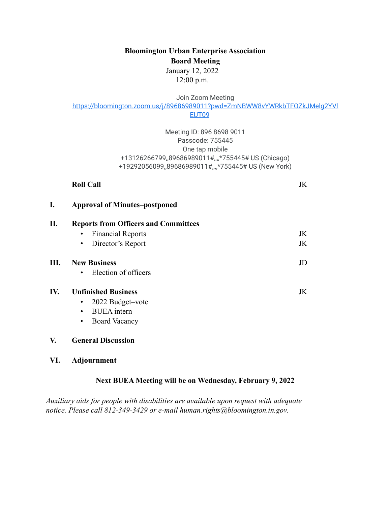**Bloomington Urban Enterprise Association Board Meeting** January 12, 2022

12:00 p.m.

Join Zoom Meeting

[https://bloomington.zoom.us/j/89686989011?pwd=ZmNBWW8vYWRkbTFOZkJMelg2YVl](https://bloomington.zoom.us/j/89686989011?pwd=ZmNBWW8vYWRkbTFOZkJMelg2YVlEUT09)

[EUT09](https://bloomington.zoom.us/j/89686989011?pwd=ZmNBWW8vYWRkbTFOZkJMelg2YVlEUT09)

Meeting ID: 896 8698 9011 Passcode: 755445 One tap mobile +13126266799,,89686989011#,,,,\*755445# US (Chicago) +19292056099,,89686989011#,,,,\*755445# US (New York)

#### **Roll Call** JK

| I.  | <b>Approval of Minutes-postponed</b><br><b>Reports from Officers and Committees</b> |    |  |  |  |  |  |  |  |  |  |
|-----|-------------------------------------------------------------------------------------|----|--|--|--|--|--|--|--|--|--|
| П.  |                                                                                     |    |  |  |  |  |  |  |  |  |  |
|     | <b>Financial Reports</b><br>$\bullet$                                               | JK |  |  |  |  |  |  |  |  |  |
|     | Director's Report<br>$\bullet$                                                      | JK |  |  |  |  |  |  |  |  |  |
| Ш.  | <b>New Business</b>                                                                 | JD |  |  |  |  |  |  |  |  |  |
|     | Election of officers<br>$\bullet$                                                   |    |  |  |  |  |  |  |  |  |  |
| IV. | <b>Unfinished Business</b>                                                          | JK |  |  |  |  |  |  |  |  |  |
|     | 2022 Budget-vote<br>$\bullet$                                                       |    |  |  |  |  |  |  |  |  |  |
|     | <b>BUEA</b> intern<br>$\bullet$                                                     |    |  |  |  |  |  |  |  |  |  |
|     | <b>Board Vacancy</b><br>٠                                                           |    |  |  |  |  |  |  |  |  |  |
|     |                                                                                     |    |  |  |  |  |  |  |  |  |  |

# **V. General Discussion**

#### **VI. Adjournment**

### **Next BUEA Meeting will be on Wednesday, February 9, 2022**

*Auxiliary aids for people with disabilities are available upon request with adequate notice. Please call 812-349-3429 or e-mail [human.rights@bloomington.in.gov.](mailto:human.rights@bloomington.in.gov)*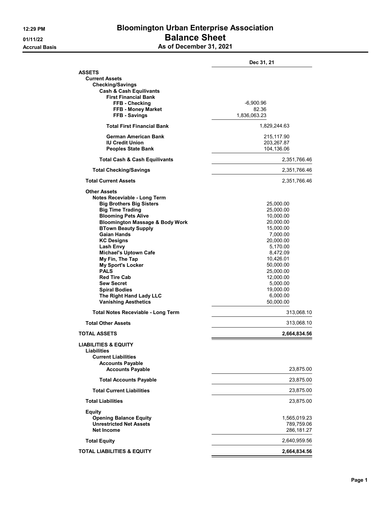### 12:29 PM Bloomington Urban Enterprise Association 01/11/22 **Balance Sheet** As of December 31, 2021

|                                                  | Dec 31, 21            |
|--------------------------------------------------|-----------------------|
| <b>ASSETS</b>                                    |                       |
| <b>Current Assets</b>                            |                       |
| <b>Checking/Savings</b>                          |                       |
| <b>Cash &amp; Cash Equilivants</b>               |                       |
| <b>First Financial Bank</b>                      |                       |
| FFB - Checking                                   | -6,900.96             |
| FFB - Money Market                               | 82.36                 |
| FFB - Savings                                    | 1,836,063.23          |
| <b>Total First Financial Bank</b>                | 1,829,244.63          |
| German American Bank                             | 215,117.90            |
| <b>IU Credit Union</b>                           | 203,267.87            |
| <b>Peoples State Bank</b>                        | 104,136.06            |
| <b>Total Cash &amp; Cash Equilivants</b>         | 2,351,766.46          |
| <b>Total Checking/Savings</b>                    | 2,351,766.46          |
| <b>Total Current Assets</b>                      | 2,351,766.46          |
| <b>Other Assets</b>                              |                       |
| Notes Receviable - Long Term                     |                       |
| <b>Big Brothers Big Sisters</b>                  | 25,000.00             |
| <b>Big Time Trading</b>                          | 25,000.00             |
| <b>Blooming Pets Alive</b>                       | 10,000.00             |
| <b>Bloomington Massage &amp; Body Work</b>       | 20,000.00             |
| <b>BTown Beauty Supply</b><br><b>Gaian Hands</b> | 15,000.00             |
| <b>KC Designs</b>                                | 7,000.00<br>20,000.00 |
| Lash Envy                                        | 5,170.00              |
| <b>Michael's Uptown Cafe</b>                     | 8,472.09              |
| My Fin, The Tap                                  | 10,426.01             |
| <b>My Sport's Locker</b>                         | 50,000.00             |
| <b>PALS</b>                                      | 25,000.00             |
| <b>Red Tire Cab</b>                              | 12,000.00             |
| <b>Sew Secret</b>                                | 5,000.00              |
| <b>Spiral Bodies</b>                             | 19,000.00             |
| The Right Hand Lady LLC                          | 6,000.00              |
| <b>Vanishing Aesthetics</b>                      | 50,000.00             |
| <b>Total Notes Receviable - Long Term</b>        | 313,068.10            |
| <b>Total Other Assets</b>                        | 313,068.10            |
| <b>TOTAL ASSETS</b>                              | 2,664,834.56          |
| <b>LIABILITIES &amp; EQUITY</b>                  |                       |
| Liabilities                                      |                       |
| <b>Current Liabilities</b>                       |                       |
| <b>Accounts Payable</b>                          |                       |
| <b>Accounts Payable</b>                          | 23,875.00             |
| <b>Total Accounts Payable</b>                    | 23,875.00             |
| <b>Total Current Liabilities</b>                 | 23,875.00             |
| <b>Total Liabilities</b>                         | 23,875.00             |
| <b>Equity</b>                                    |                       |
| <b>Opening Balance Equity</b>                    | 1,565,019.23          |
| <b>Unrestricted Net Assets</b>                   | 789,759.06            |
| <b>Net Income</b>                                | 286,181.27            |
| <b>Total Equity</b>                              | 2,640,959.56          |
| TOTAL LIABILITIES & EQUITY                       | 2,664,834.56          |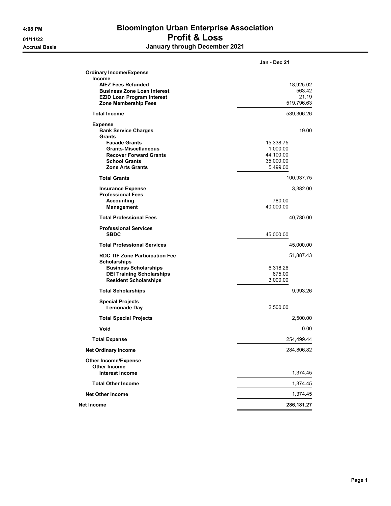## 4:08 PM Bloomington Urban Enterprise Association 01/11/22 Profit & Loss Accrual Basis **Accrual Basis January through December 2021**

|                                                                  | Jan - Dec 21          |
|------------------------------------------------------------------|-----------------------|
| <b>Ordinary Income/Expense</b>                                   |                       |
| Income                                                           |                       |
| <b>AIEZ Fees Refunded</b>                                        | 18,925.02             |
| <b>Business Zone Loan Interest</b>                               | 563.42                |
| <b>EZID Loan Program Interest</b>                                | 21.19                 |
| Zone Membership Fees                                             | 519,796.63            |
| <b>Total Income</b>                                              | 539,306.26            |
| <b>Expense</b>                                                   |                       |
| <b>Bank Service Charges</b>                                      | 19.00                 |
| Grants                                                           |                       |
| <b>Facade Grants</b><br><b>Grants-Miscellaneous</b>              | 15,338.75             |
| <b>Recover Forward Grants</b>                                    | 1,000.00<br>44,100.00 |
| <b>School Grants</b>                                             | 35,000.00             |
| <b>Zone Arts Grants</b>                                          | 5,499.00              |
| <b>Total Grants</b>                                              | 100,937.75            |
| <b>Insurance Expense</b>                                         | 3,382.00              |
| <b>Professional Fees</b>                                         |                       |
| <b>Accounting</b>                                                | 780.00                |
| <b>Management</b>                                                | 40,000.00             |
| <b>Total Professional Fees</b>                                   | 40,780.00             |
| <b>Professional Services</b>                                     |                       |
| <b>SBDC</b>                                                      | 45,000.00             |
| <b>Total Professional Services</b>                               | 45,000.00             |
| <b>RDC TIF Zone Participation Fee</b>                            | 51,887.43             |
| <b>Scholarships</b>                                              | 6,318.26              |
| <b>Business Scholarships</b><br><b>DEI Training Scholarships</b> | 675.00                |
| <b>Resident Scholarships</b>                                     | 3,000.00              |
|                                                                  |                       |
| <b>Total Scholarships</b>                                        | 9,993.26              |
| <b>Special Projects</b><br><b>Lemonade Day</b>                   |                       |
|                                                                  | 2,500.00              |
| <b>Total Special Projects</b>                                    | 2,500.00              |
| Void                                                             | 0.00                  |
| <b>Total Expense</b>                                             | 254,499.44            |
| <b>Net Ordinary Income</b>                                       | 284,806.82            |
| <b>Other Income/Expense</b>                                      |                       |
| <b>Other Income</b>                                              |                       |
| <b>Interest Income</b>                                           | 1,374.45              |
| <b>Total Other Income</b>                                        | 1,374.45              |
| <b>Net Other Income</b>                                          | 1,374.45              |
| Net Income                                                       | 286,181.27            |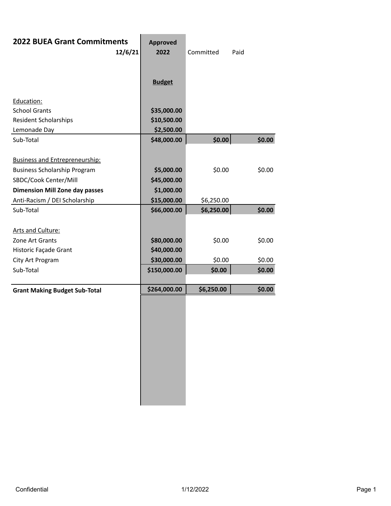| <b>2022 BUEA Grant Commitments</b>    | 12/6/21 | <b>Approved</b><br>2022 | Committed  | Paid   |  |
|---------------------------------------|---------|-------------------------|------------|--------|--|
|                                       |         | <b>Budget</b>           |            |        |  |
| Education:                            |         |                         |            |        |  |
| <b>School Grants</b>                  |         | \$35,000.00             |            |        |  |
| <b>Resident Scholarships</b>          |         | \$10,500.00             |            |        |  |
| Lemonade Day                          |         | \$2,500.00              |            |        |  |
| Sub-Total                             |         | \$48,000.00             | \$0.00     | \$0.00 |  |
|                                       |         |                         |            |        |  |
| <b>Business and Entrepreneurship:</b> |         |                         |            |        |  |
| <b>Business Scholarship Program</b>   |         | \$5,000.00              | \$0.00     | \$0.00 |  |
| SBDC/Cook Center/Mill                 |         | \$45,000.00             |            |        |  |
| <b>Dimension Mill Zone day passes</b> |         | \$1,000.00              |            |        |  |
| Anti-Racism / DEI Scholarship         |         | \$15,000.00             | \$6,250.00 |        |  |
| Sub-Total                             |         | \$66,000.00             | \$6,250.00 | \$0.00 |  |
|                                       |         |                         |            |        |  |
| <b>Arts and Culture:</b>              |         |                         |            |        |  |
| Zone Art Grants                       |         | \$80,000.00             | \$0.00     | \$0.00 |  |
| Historic Façade Grant                 |         | \$40,000.00             |            |        |  |
| City Art Program                      |         | \$30,000.00             | \$0.00     | \$0.00 |  |
| Sub-Total                             |         | \$150,000.00            | \$0.00     | \$0.00 |  |
| <b>Grant Making Budget Sub-Total</b>  |         | \$264,000.00            | \$6,250.00 | \$0.00 |  |
|                                       |         |                         |            |        |  |
|                                       |         |                         |            |        |  |
|                                       |         |                         |            |        |  |
|                                       |         |                         |            |        |  |
|                                       |         |                         |            |        |  |
|                                       |         |                         |            |        |  |
|                                       |         |                         |            |        |  |
|                                       |         |                         |            |        |  |
|                                       |         |                         |            |        |  |
|                                       |         |                         |            |        |  |
|                                       |         |                         |            |        |  |